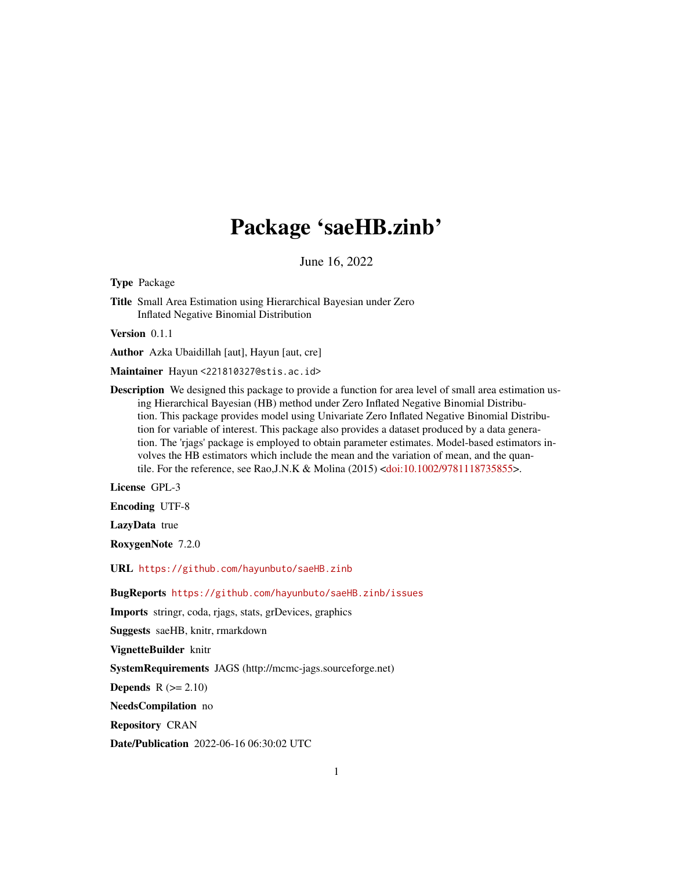## Package 'saeHB.zinb'

June 16, 2022

Type Package

Title Small Area Estimation using Hierarchical Bayesian under Zero Inflated Negative Binomial Distribution

Version 0.1.1

Author Azka Ubaidillah [aut], Hayun [aut, cre]

Maintainer Hayun <221810327@stis.ac.id>

Description We designed this package to provide a function for area level of small area estimation using Hierarchical Bayesian (HB) method under Zero Inflated Negative Binomial Distribution. This package provides model using Univariate Zero Inflated Negative Binomial Distribution for variable of interest. This package also provides a dataset produced by a data generation. The 'rjags' package is employed to obtain parameter estimates. Model-based estimators involves the HB estimators which include the mean and the variation of mean, and the quantile. For the reference, see Rao,J.N.K & Molina (2015) [<doi:10.1002/9781118735855>](https://doi.org/10.1002/9781118735855).

License GPL-3

Encoding UTF-8

LazyData true

RoxygenNote 7.2.0

URL <https://github.com/hayunbuto/saeHB.zinb>

BugReports <https://github.com/hayunbuto/saeHB.zinb/issues>

Imports stringr, coda, rjags, stats, grDevices, graphics

Suggests saeHB, knitr, rmarkdown

VignetteBuilder knitr

SystemRequirements JAGS (http://mcmc-jags.sourceforge.net)

**Depends**  $R$  ( $>= 2.10$ )

NeedsCompilation no

Repository CRAN

Date/Publication 2022-06-16 06:30:02 UTC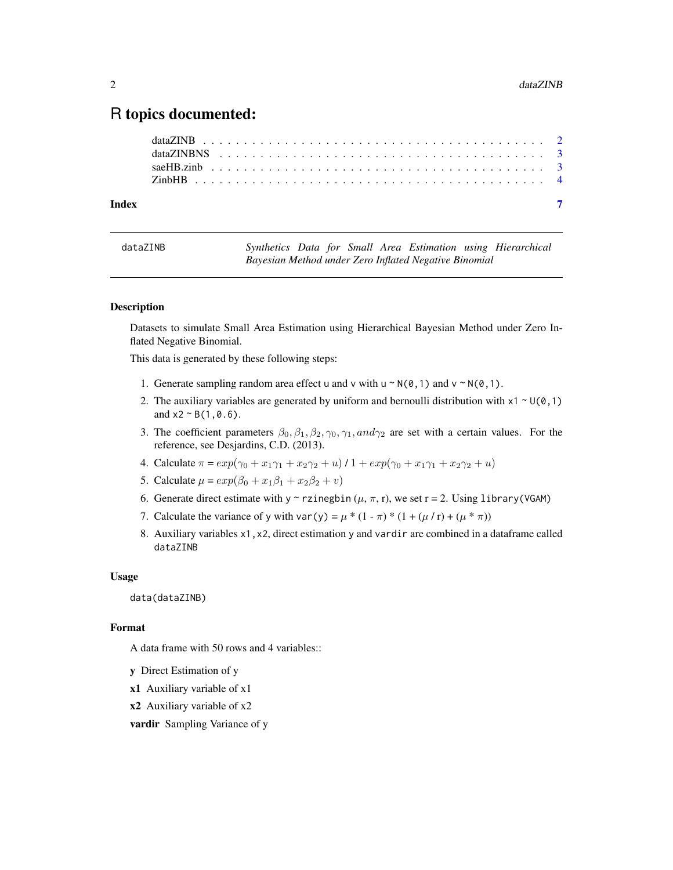### <span id="page-1-0"></span>R topics documented:

| Index |  |  |  |  |  |  |  |  |  |  |  |  |  |  |  |  |  |  |  |
|-------|--|--|--|--|--|--|--|--|--|--|--|--|--|--|--|--|--|--|--|

<span id="page-1-1"></span>dataZINB *Synthetics Data for Small Area Estimation using Hierarchical Bayesian Method under Zero Inflated Negative Binomial*

#### **Description**

Datasets to simulate Small Area Estimation using Hierarchical Bayesian Method under Zero Inflated Negative Binomial.

This data is generated by these following steps:

- 1. Generate sampling random area effect u and v with  $u \sim N(0, 1)$  and  $v \sim N(0, 1)$ .
- 2. The auxiliary variables are generated by uniform and bernoulli distribution with  $x1 \sim U(0,1)$ and  $x^2 \sim B(1, 0.6)$ .
- 3. The coefficient parameters  $\beta_0$ ,  $\beta_1$ ,  $\beta_2$ ,  $\gamma_0$ ,  $\gamma_1$ , and  $\gamma_2$  are set with a certain values. For the reference, see Desjardins, C.D. (2013).
- 4. Calculate  $\pi = exp(\gamma_0 + x_1\gamma_1 + x_2\gamma_2 + u)/1 + exp(\gamma_0 + x_1\gamma_1 + x_2\gamma_2 + u)$
- 5. Calculate  $\mu = exp(\beta_0 + x_1\beta_1 + x_2\beta_2 + v)$
- 6. Generate direct estimate with y ~ rzinegbin  $(\mu, \pi, r)$ , we set r = 2. Using library (VGAM)
- 7. Calculate the variance of y with var(y) =  $\mu$  \* (1  $\pi$ ) \* (1 + ( $\mu$  / r) + ( $\mu$  \*  $\pi$ ))
- 8. Auxiliary variables x1,x2, direct estimation y and vardir are combined in a dataframe called dataZINB

#### Usage

data(dataZINB)

#### Format

A data frame with 50 rows and 4 variables::

- y Direct Estimation of y
- x1 Auxiliary variable of x1
- x2 Auxiliary variable of x2
- vardir Sampling Variance of y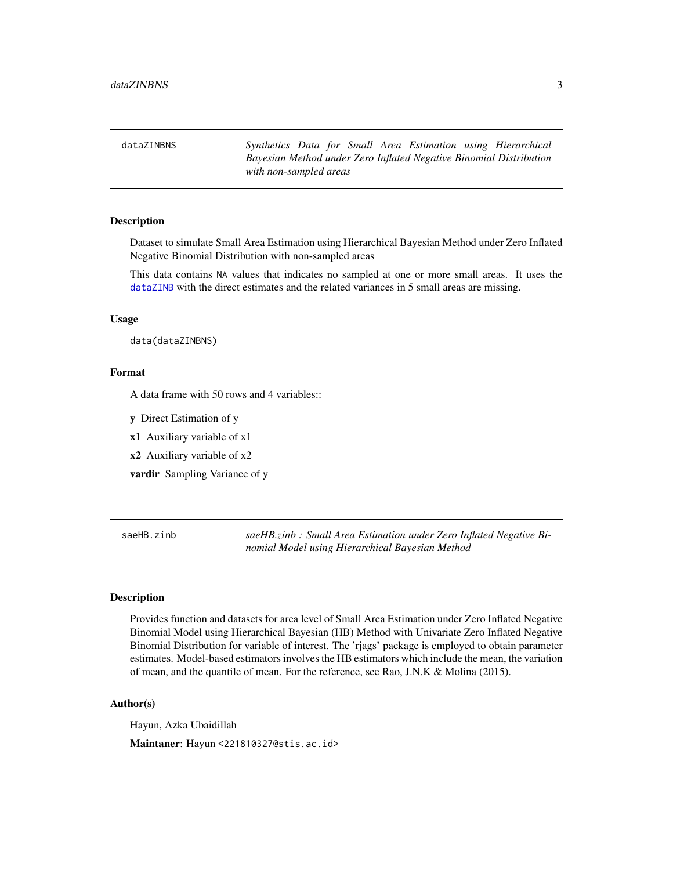<span id="page-2-0"></span>

| dataZINBNS |                        |  |  |  | Synthetics Data for Small Area Estimation using Hierarchical       |
|------------|------------------------|--|--|--|--------------------------------------------------------------------|
|            |                        |  |  |  | Bayesian Method under Zero Inflated Negative Binomial Distribution |
|            | with non-sampled areas |  |  |  |                                                                    |

#### Description

Dataset to simulate Small Area Estimation using Hierarchical Bayesian Method under Zero Inflated Negative Binomial Distribution with non-sampled areas

This data contains NA values that indicates no sampled at one or more small areas. It uses the [dataZINB](#page-1-1) with the direct estimates and the related variances in 5 small areas are missing.

#### Usage

data(dataZINBNS)

#### Format

A data frame with 50 rows and 4 variables::

y Direct Estimation of y

x1 Auxiliary variable of x1

x2 Auxiliary variable of x2

vardir Sampling Variance of y

saeHB.zinb *saeHB.zinb : Small Area Estimation under Zero Inflated Negative Binomial Model using Hierarchical Bayesian Method*

#### **Description**

Provides function and datasets for area level of Small Area Estimation under Zero Inflated Negative Binomial Model using Hierarchical Bayesian (HB) Method with Univariate Zero Inflated Negative Binomial Distribution for variable of interest. The 'rjags' package is employed to obtain parameter estimates. Model-based estimators involves the HB estimators which include the mean, the variation of mean, and the quantile of mean. For the reference, see Rao, J.N.K & Molina (2015).

#### Author(s)

Hayun, Azka Ubaidillah

Maintaner: Hayun <221810327@stis.ac.id>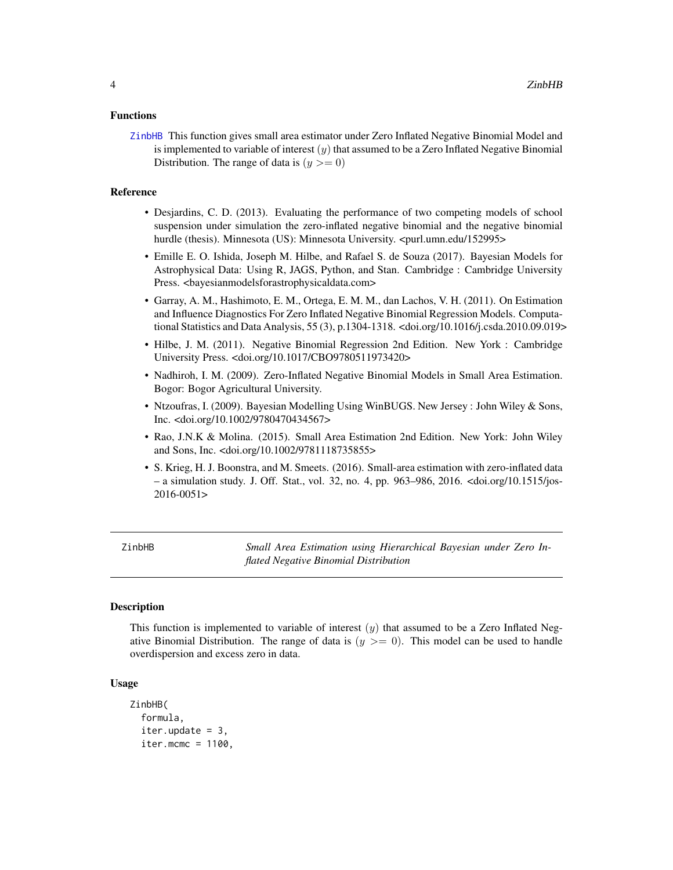#### <span id="page-3-0"></span>Functions

[ZinbHB](#page-3-1) This function gives small area estimator under Zero Inflated Negative Binomial Model and is implemented to variable of interest  $(y)$  that assumed to be a Zero Inflated Negative Binomial Distribution. The range of data is  $(y \ge 0)$ 

#### Reference

- Desjardins, C. D. (2013). Evaluating the performance of two competing models of school suspension under simulation the zero-inflated negative binomial and the negative binomial hurdle (thesis). Minnesota (US): Minnesota University. <purl.umn.edu/152995>
- Emille E. O. Ishida, Joseph M. Hilbe, and Rafael S. de Souza (2017). Bayesian Models for Astrophysical Data: Using R, JAGS, Python, and Stan. Cambridge : Cambridge University Press. < bayesianmodels for astrophysical data.com>
- Garray, A. M., Hashimoto, E. M., Ortega, E. M. M., dan Lachos, V. H. (2011). On Estimation and Influence Diagnostics For Zero Inflated Negative Binomial Regression Models. Computational Statistics and Data Analysis, 55 (3), p.1304-1318. <doi.org/10.1016/j.csda.2010.09.019>
- Hilbe, J. M. (2011). Negative Binomial Regression 2nd Edition. New York : Cambridge University Press. <doi.org/10.1017/CBO9780511973420>
- Nadhiroh, I. M. (2009). Zero-Inflated Negative Binomial Models in Small Area Estimation. Bogor: Bogor Agricultural University.
- Ntzoufras, I. (2009). Bayesian Modelling Using WinBUGS. New Jersey : John Wiley & Sons, Inc. <doi.org/10.1002/9780470434567>
- Rao, J.N.K & Molina. (2015). Small Area Estimation 2nd Edition. New York: John Wiley and Sons, Inc. <doi.org/10.1002/9781118735855>
- S. Krieg, H. J. Boonstra, and M. Smeets. (2016). Small-area estimation with zero-inflated data – a simulation study. J. Off. Stat., vol. 32, no. 4, pp. 963–986, 2016. <doi.org/10.1515/jos-2016-0051>

<span id="page-3-1"></span>ZinbHB *Small Area Estimation using Hierarchical Bayesian under Zero Inflated Negative Binomial Distribution*

#### Description

This function is implemented to variable of interest  $(y)$  that assumed to be a Zero Inflated Negative Binomial Distribution. The range of data is  $(y \ge 0)$ . This model can be used to handle overdispersion and excess zero in data.

#### Usage

```
ZinbHB(
  formula,
  iter.update = 3,iter.mcmc = 1100,
```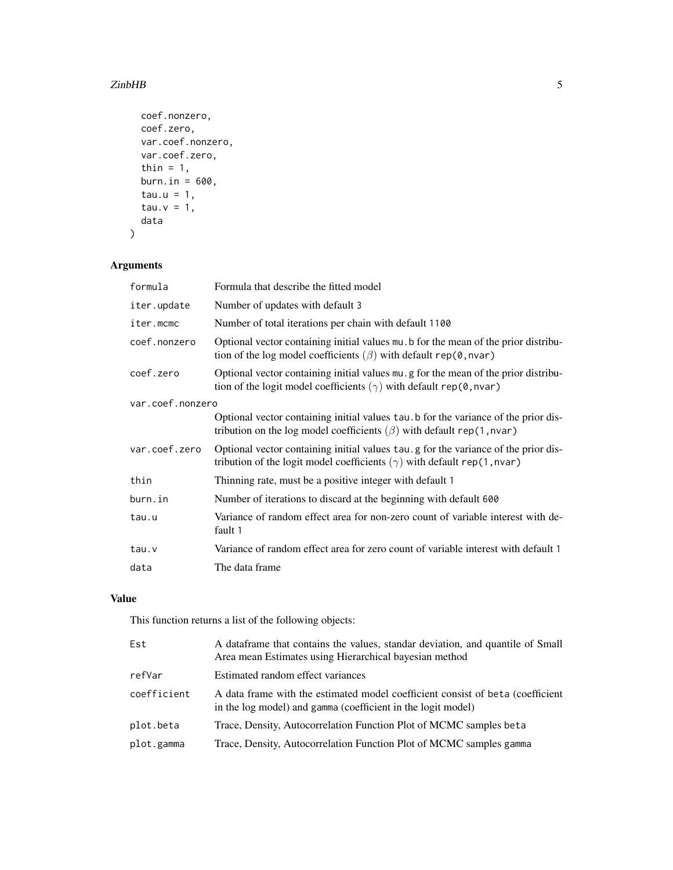#### $\sum$ inbHB 5

```
coef.nonzero,
 coef.zero,
 var.coef.nonzero,
 var.coef.zero,
  thin = 1,
 burn.in = 600,
 tau.u = 1,tau.v = 1,
 data
\mathcal{L}
```
#### Arguments

| formula          | Formula that describe the fitted model                                                                                                                               |  |  |  |  |  |  |  |
|------------------|----------------------------------------------------------------------------------------------------------------------------------------------------------------------|--|--|--|--|--|--|--|
| iter.update      | Number of updates with default 3                                                                                                                                     |  |  |  |  |  |  |  |
| iter.mcmc        | Number of total iterations per chain with default 1100                                                                                                               |  |  |  |  |  |  |  |
| coef.nonzero     | Optional vector containing initial values mu. b for the mean of the prior distribu-<br>tion of the log model coefficients $(\beta)$ with default rep(0, nvar)        |  |  |  |  |  |  |  |
| coef.zero        | Optional vector containing initial values mu, g for the mean of the prior distribu-<br>tion of the logit model coefficients $(\gamma)$ with default rep(0, nvar)     |  |  |  |  |  |  |  |
| var.coef.nonzero |                                                                                                                                                                      |  |  |  |  |  |  |  |
|                  | Optional vector containing initial values tau b for the variance of the prior dis-<br>tribution on the log model coefficients $(\beta)$ with default rep(1, nvar)    |  |  |  |  |  |  |  |
| var.coef.zero    | Optional vector containing initial values tau g for the variance of the prior dis-<br>tribution of the logit model coefficients $(\gamma)$ with default rep(1, nvar) |  |  |  |  |  |  |  |
| thin             | Thinning rate, must be a positive integer with default 1                                                                                                             |  |  |  |  |  |  |  |
| burn.in          | Number of iterations to discard at the beginning with default 600                                                                                                    |  |  |  |  |  |  |  |
| tau.u            | Variance of random effect area for non-zero count of variable interest with de-<br>fault 1                                                                           |  |  |  |  |  |  |  |
| tau.v            | Variance of random effect area for zero count of variable interest with default 1                                                                                    |  |  |  |  |  |  |  |
| data             | The data frame                                                                                                                                                       |  |  |  |  |  |  |  |

#### Value

This function returns a list of the following objects:

| A data frame that contains the values, standar deviation, and quantile of Small<br>Area mean Estimates using Hierarchical bayesian method      |
|------------------------------------------------------------------------------------------------------------------------------------------------|
| Estimated random effect variances                                                                                                              |
| A data frame with the estimated model coefficient consist of beta (coefficient<br>in the log model) and gamma (coefficient in the logit model) |
| Trace, Density, Autocorrelation Function Plot of MCMC samples beta                                                                             |
| Trace, Density, Autocorrelation Function Plot of MCMC samples gamma                                                                            |
|                                                                                                                                                |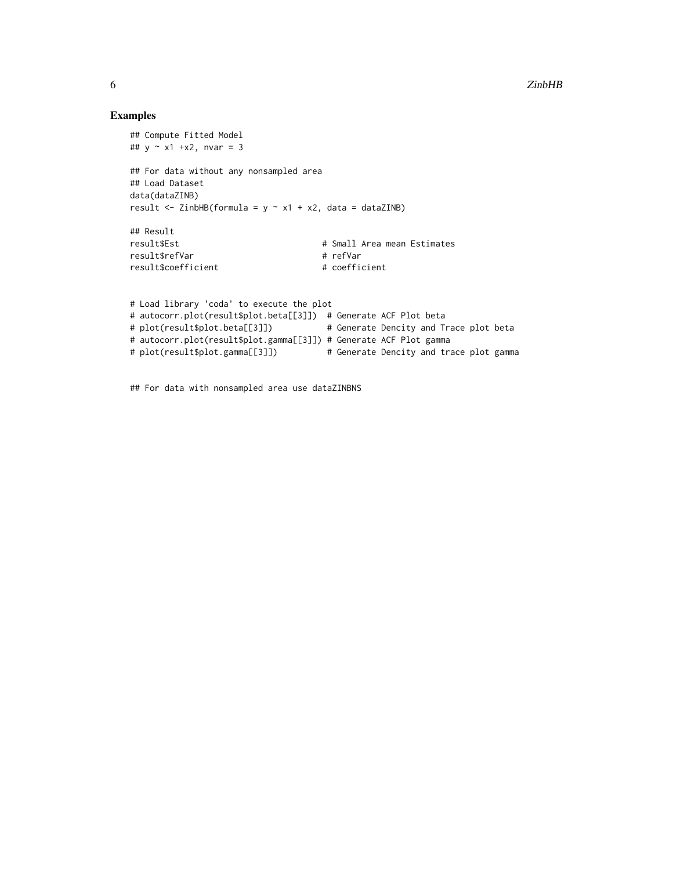#### Examples

```
## Compute Fitted Model
## y \sim x1 + x2, nvar = 3
## For data without any nonsampled area
## Load Dataset
data(dataZINB)
result <- ZinbHB(formula = y \sim x1 + x2, data = dataZINB)
## Result
result$Est # Small Area mean Estimates
result$refVar # refVar
result$coefficient # coefficient
# Load library 'coda' to execute the plot
# autocorr.plot(result$plot.beta[[3]]) # Generate ACF Plot beta
# plot(result$plot.beta[[3]]) # Generate Dencity and Trace plot beta
# autocorr.plot(result$plot.gamma[[3]]) # Generate ACF Plot gamma
# plot(result$plot.gamma[[3]]) # Generate Dencity and trace plot gamma
```
## For data with nonsampled area use dataZINBNS